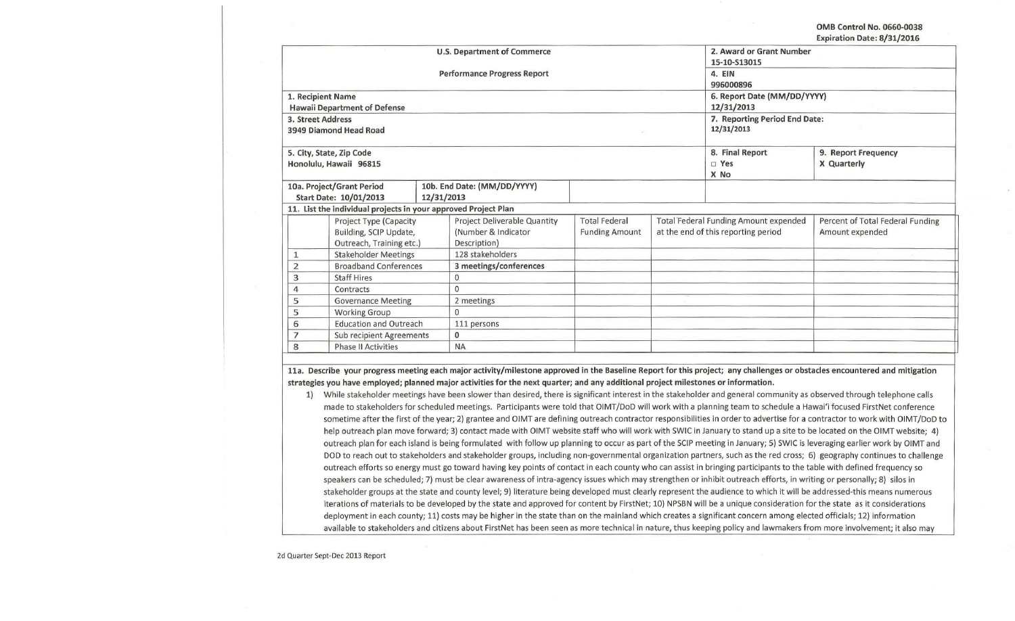### **OMB Control No. 0660-0038 Expiration Date: 8/31/2016**

| 1. Recipient Name                                                            | <b>Hawaii Department of Defense</b>                                          |                                             | <b>U.S. Department of Commerce</b><br><b>Performance Progress Report</b> |                                               |                                                                                     | 2. Award or Grant Number<br>15-10-S13015<br>4. EIN<br>996000896<br>6. Report Date (MM/DD/YYYY)<br>12/31/2013 |                                                     |
|------------------------------------------------------------------------------|------------------------------------------------------------------------------|---------------------------------------------|--------------------------------------------------------------------------|-----------------------------------------------|-------------------------------------------------------------------------------------|--------------------------------------------------------------------------------------------------------------|-----------------------------------------------------|
| 3. Street Address                                                            | 3949 Diamond Head Road                                                       | 7. Reporting Period End Date:<br>12/31/2013 |                                                                          |                                               |                                                                                     |                                                                                                              |                                                     |
|                                                                              | 5. City, State, Zip Code<br>Honolulu, Hawaii 96815                           |                                             |                                                                          |                                               |                                                                                     | 8. Final Report<br>$\square$ Yes<br>X No                                                                     | 9. Report Frequency<br>X Quarterly                  |
| 10a. Project/Grant Period<br>Start Date: 10/01/2013                          |                                                                              | 10b. End Date: (MM/DD/YYYY)                 |                                                                          |                                               |                                                                                     |                                                                                                              |                                                     |
| 12/31/2013<br>11. List the individual projects in your approved Project Plan |                                                                              |                                             |                                                                          |                                               |                                                                                     |                                                                                                              |                                                     |
|                                                                              | Project Type (Capacity<br>Building, SCIP Update,<br>Outreach, Training etc.) |                                             | Project Deliverable Quantity<br>(Number & Indicator<br>Description)      | <b>Total Federal</b><br><b>Funding Amount</b> | <b>Total Federal Funding Amount expended</b><br>at the end of this reporting period |                                                                                                              | Percent of Total Federal Funding<br>Amount expended |
| 1                                                                            | <b>Stakeholder Meetings</b>                                                  |                                             | 128 stakeholders                                                         |                                               |                                                                                     |                                                                                                              |                                                     |
| 2                                                                            | <b>Broadband Conferences</b>                                                 |                                             | 3 meetings/conferences                                                   |                                               |                                                                                     |                                                                                                              |                                                     |
| 3                                                                            | <b>Staff Hires</b>                                                           |                                             | $\mathbf{0}$                                                             |                                               |                                                                                     |                                                                                                              |                                                     |
| 4                                                                            | Contracts                                                                    |                                             | 0                                                                        |                                               |                                                                                     |                                                                                                              |                                                     |
|                                                                              | <b>Governance Meeting</b><br>5                                               |                                             | 2 meetings                                                               |                                               |                                                                                     |                                                                                                              |                                                     |
| <b>Working Group</b><br>5                                                    |                                                                              |                                             | $\Omega$                                                                 |                                               |                                                                                     |                                                                                                              |                                                     |
| <b>Education and Outreach</b><br>6                                           |                                                                              | 111 persons                                 |                                                                          |                                               |                                                                                     |                                                                                                              |                                                     |
| 7                                                                            | Sub recipient Agreements                                                     |                                             | $\bf{0}$                                                                 |                                               |                                                                                     |                                                                                                              |                                                     |
| <b>Phase II Activities</b><br>8                                              |                                                                              | <b>NA</b>                                   |                                                                          |                                               |                                                                                     |                                                                                                              |                                                     |

**lla. Describe your progress meeting each major activity/milestone approved in the Baseline Report for this project; any challenges or obstacles encountered and mitigation strategies you have employed; planned major activities for the next quarter; and any additional project milestones or information.** 

1) While stakeholder meetings have been slower than desired, there is significant interest in the stakeholder and general community as observed through telephone calls made to stakeholders for scheduled meetings. Participants were told that OIMT /DoD will work with a planning team to schedule a Hawai'i focused FirstNet conference sometime after the first of the year; 2) grantee and OIMT are defining outreach contractor responsibilities in order to advertise for a contractor to work with OIMT/DoD to help outreach plan move forward; 3) contact made with OIMT website staff who will work with SWIC in January to stand up a site to be located on the OIMT website; 4) outreach plan for each island is being formulated with follow up planning to occur as part of the SCIP meeting in January; 5) SWIC is leveraging earlier work by OIMT and DOD to reach out to stakeholders and stakeholder groups, including non-governmental organization partners, such as the red cross; 6) geography continues to challenge outreach efforts so energy must go toward having key points of contact in each county who can assist in bringing participants to the table with defined frequency so speakers can be scheduled; 7) must be clear awareness of intra-agency issues which may strengthen or inhibit outreach efforts, in writing or personally; 8) silos in stakeholder groups at the state and county level; 9) literature being developed must clearly represent the audience to which it will be addressed-this means numerous iterations of materials to be developed by the state and approved for content by FirstNet; 10) NPSBN will be a unique consideration for the state as it considerations deployment in each county; 11) costs may be higher in the state than on the mainland which creates a significant concern among elected officials; 12) information available to stakeholders and citizens about FirstNet has been seen as more technical in nature, thus keeping policy and lawmakers from more involvement; it also may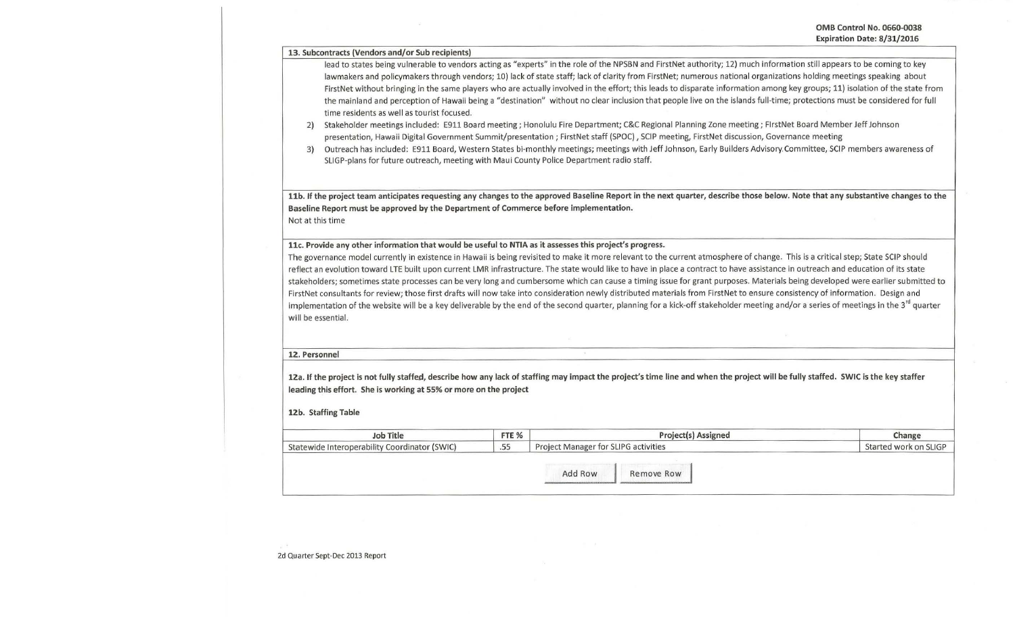13. Subcontracts (Vendors and/or Sub recipients)

lead to states being vulnerable to vendors acting as "experts" in the role of the NPSBN and FirstNet authority; 12) much information still appears to be coming to key lawmakers and policymakers through vendors; 10) lack of state staff; lack of clarity from FirstNet; numerous national organizations holding meetings speaking about FirstNet without bringing in the same players who are actually involved in the effort; this leads to disparate information among key groups; 11) isolation of the state from the mainland and perception of Hawaii being a "destination" without no clear inclusion that people live on the islands full-time; protections must be considered for full time residents as well as tourist focused.

2) Stakeholder meetings included: E911 Board meeting; Honolulu Fire Department; C&C Regional Planning Zone meeting; FlrstNet Board Member Jeff Johnson presentation, Hawaii Digital Government Summit/presentation; FirstNet staff (SPOC), SCIP meeting, FirstNet discussion, Governance meeting

3) Outreach has included: E911 Board, Western States bi-monthly meetings; meetings with Jeff Johnson, Early Builders Advisory. Committee, SCIP members awareness of SLIGP-plans for future outreach, meeting with Maul County Police Department radio staff.

11b. If the project team anticipates requesting any changes to the approved Baseline Report in the next quarter, describe those below. Note that any substantive changes to the Baseline Report must be approved by the Department of Commerce before implementation. Not at this time

11c. Provide any other information that would be useful to NTIA as it assesses this project's progress.

The governance model currently in existence in Hawaii is being revisited to make it more relevant to the current atmosphere of change. This is a critical step; State SCIP should reflect an evolution toward LTE built upon current LMR infrastructure. The state would like to have in place a contract to have assistance in outreach and education of its state stakeholders; sometimes state processes can be very long and cumbersome which can cause a timing issue for grant purposes. Materials being developed were earlier submitted to FirstNet consultants for review; those first drafts will now take into consideration newly distributed materials from FirstNet to ensure consistency of information. Design and implementation of the website will be a key deliverable by the end of the second quarter, planning for a kick-off stakeholder meeting and/or a series of meetings in the 3<sup>rd</sup> quarter will be essential.

### 12. Personnel

12a. If the project is not fully staffed, describe how any lack of staffing may impact the project's time line and when the project will be fully staffed. SWIC is the key staffer leading this effort. She is working at 55% or more on the project

#### 12b. Staffing Table

| Job Title                                     | FTE <sub>%</sub> |                                      | Project(s) Assigned   | Change |  |
|-----------------------------------------------|------------------|--------------------------------------|-----------------------|--------|--|
| Statewide Interoperability Coordinator (SWIC) | .55              | Project Manager for SLIPG activities | Started work on SLIGP |        |  |
|                                               |                  |                                      |                       |        |  |
|                                               |                  | Add Row                              | Remove Row            |        |  |
|                                               |                  |                                      |                       |        |  |

2d Quarter Sept-Dec 2013 Report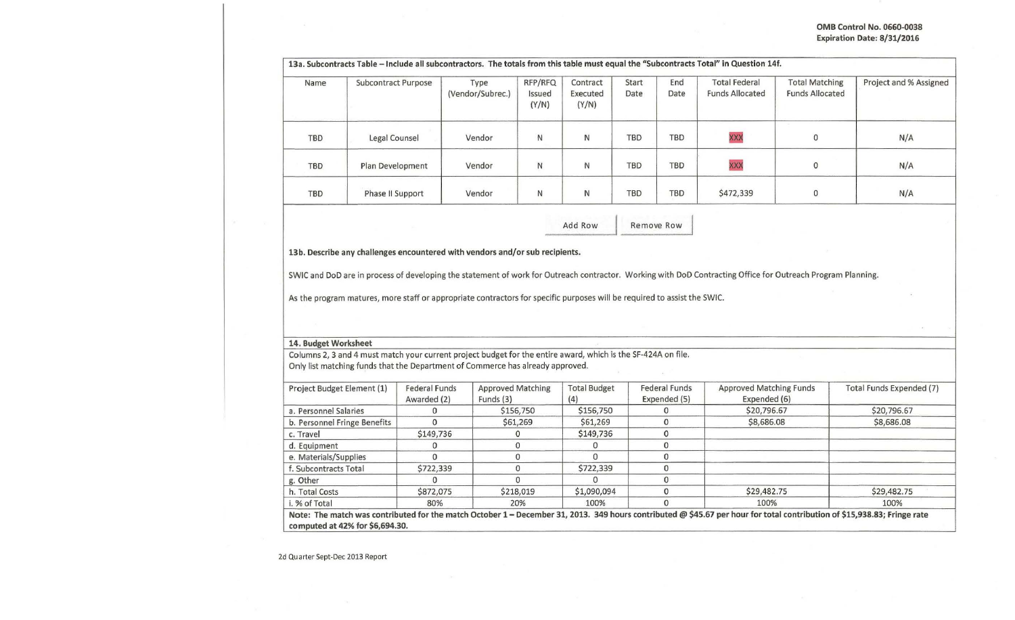# OMB Control No. 0660-0038 Expiration Date: 8/31/2016

| Name       | <b>Subcontract Purpose</b> | Type<br>(Vendor/Subrec.) | RFP/RFQ<br>Issued<br>(Y/N) | Contract<br>Executed<br>(Y/N) | Start<br>Date | End<br>Date | <b>Total Federal</b><br><b>Funds Allocated</b> | <b>Total Matching</b><br><b>Funds Allocated</b> | Project and % Assigned |
|------------|----------------------------|--------------------------|----------------------------|-------------------------------|---------------|-------------|------------------------------------------------|-------------------------------------------------|------------------------|
| <b>TBD</b> | Legal Counsel              | Vendor                   | $\mathsf{N}$               | N                             | <b>TBD</b>    | <b>TBD</b>  | <b>XXX</b>                                     | $\mathbf 0$                                     | N/A                    |
| <b>TBD</b> | Plan Development           | Vendor                   | N                          | N                             | <b>TBD</b>    | <b>TBD</b>  | <b>XXX</b>                                     | $\mathbf 0$                                     | N/A                    |
| TBD        | Phase II Support           | Vendor                   | N                          | N                             | <b>TBD</b>    | <b>TBD</b>  | \$472,339                                      | $\Omega$                                        | N/A                    |

13b. Describe any challenges encountered with vendors and/or sub recipients.

SWIC and DoD are in process of developing the statement of work for Outreach contractor. Working with DoD Contracting Office for Outreach Program Planning.

As the program matures, more staff or appropriate contractors for specific purposes will be required to assist the SWIC.

## 14. Budget Worksheet

Columns 2, 3 and 4 must match your current project budget for the entire award, which is the SF-424A on file. Only list matching funds that the Department of Commerce has already approved.

| Project Budget Element (1)      | <b>Federal Funds</b><br>Awarded (2) | <b>Approved Matching</b><br>Funds $(3)$ | <b>Total Budget</b><br>(4) | <b>Federal Funds</b><br>Expended (5) | <b>Approved Matching Funds</b><br>Expended (6)                                                                                                                           | Total Funds Expended (7) |
|---------------------------------|-------------------------------------|-----------------------------------------|----------------------------|--------------------------------------|--------------------------------------------------------------------------------------------------------------------------------------------------------------------------|--------------------------|
| a. Personnel Salaries           |                                     | \$156,750                               | \$156,750                  |                                      | \$20,796.67                                                                                                                                                              | \$20,796.67              |
| b. Personnel Fringe Benefits    |                                     | \$61,269                                | \$61,269                   |                                      | \$8,686.08                                                                                                                                                               | \$8,686.08               |
| c. Travel                       | \$149,736                           | 0                                       | \$149,736                  |                                      |                                                                                                                                                                          |                          |
| d. Equipment                    |                                     |                                         | O                          |                                      |                                                                                                                                                                          |                          |
| e. Materials/Supplies           |                                     |                                         |                            |                                      |                                                                                                                                                                          |                          |
| f. Subcontracts Total           | \$722,339                           |                                         | \$722,339                  |                                      |                                                                                                                                                                          |                          |
| g. Other                        |                                     |                                         |                            |                                      |                                                                                                                                                                          |                          |
| h. Total Costs                  | \$872,075                           | \$218,019                               | \$1,090,094                |                                      | \$29,482.75                                                                                                                                                              | \$29,482.75              |
| i. % of Total                   | 80%                                 | 20%                                     | 100%                       |                                      | 100%                                                                                                                                                                     | 100%                     |
| computed at 42% for \$6,694.30. |                                     |                                         |                            |                                      | Note: The match was contributed for the match October 1 - December 31, 2013. 349 hours contributed @ \$45.67 per hour for total contribution of \$15,938.83; Fringe rate |                          |

2d Quarter Sept-Dec 2013 Report